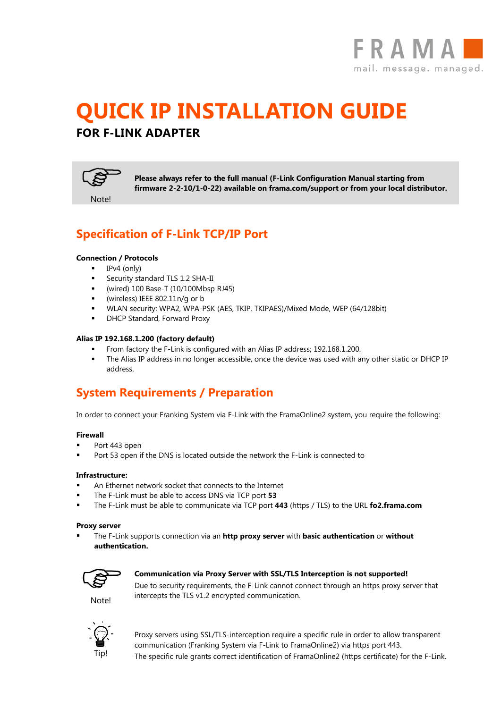

# **QUICK IP INSTALLATION GUIDE FOR F-LINK ADAPTER**



**Please always refer to the full manual (F-Link Configuration Manual starting from firmware 2-2-10/1-0-22) available on frama.com/support or from your local distributor.** 

# **Specification of F-Link TCP/IP Port**

### **Connection / Protocols**

- $IPv4$  (only)
- Security standard TLS 1.2 SHA-II
- (wired) 100 Base-T (10/100Mbsp RJ45)
- (wireless) IEEE 802.11n/g or b
- WLAN security: WPA2, WPA-PSK (AES, TKIP, TKIPAES)/Mixed Mode, WEP (64/128bit)
- DHCP Standard, Forward Proxy

### **Alias IP 192.168.1.200 (factory default)**

- From factory the F-Link is configured with an Alias IP address; 192.168.1.200.
- The Alias IP address in no longer accessible, once the device was used with any other static or DHCP IP address.

# **System Requirements / Preparation**

In order to connect your Franking System via F-Link with the FramaOnline2 system, you require the following:

#### **Firewall**

- Port 443 open
- Port 53 open if the DNS is located outside the network the F-Link is connected to

#### **Infrastructure:**

- An Ethernet network socket that connects to the Internet
- The F-Link must be able to access DNS via TCP port **53**
- The F-Link must be able to communicate via TCP port **443** (https / TLS) to the URL **fo2.frama.com**

#### **Proxy server**

 The F-Link supports connection via an **http proxy server** with **basic authentication** or **without authentication.**



**Notel** 

### **Communication via Proxy Server with SSL/TLS Interception is not supported!**

Due to security requirements, the F-Link cannot connect through an https proxy server that intercepts the TLS v1.2 encrypted communication.



Proxy servers using SSL/TLS-interception require a specific rule in order to allow transparent communication (Franking System via F-Link to FramaOnline2) via https port 443. The specific rule grants correct identification of FramaOnline2 (https certificate) for the F-Link.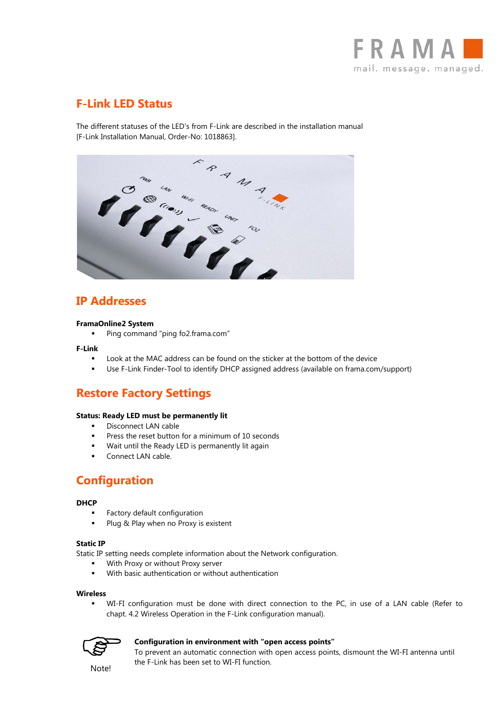

# **F-Link LED Status**

[F-Link Installation Manual, Order-No: 1018863].



# **IP Addresses**

### **FramaOnline2 System**

■ Ping command "ping fo2.frama.com"

#### **F-Link**

- Look at the MAC address can be found on the sticker at the bottom of the device
- Use F-Link Finder-Tool to identify DHCP assigned address (available on frama.com/support)

# **Restore Factory Settings**

#### **Status: Ready LED must be permanently lit**

- **Disconnect LAN cable**
- **Press the reset button for a minimum of 10 seconds**
- Wait until the Ready LED is permanently lit again
- **Connect LAN cable.**

### **Configuration**

### **DHCP**

- Factory default configuration
- Plug & Play when no Proxy is existent

### **Static IP**

Static IP setting needs complete information about the Network configuration.

- With Proxy or without Proxy server
- With basic authentication or without authentication

#### **Wireless**

 WI-FI configuration must be done with direct connection to the PC, in use of a LAN cable (Refer to chapt. 4.2 Wireless Operation in the F-Link configuration manual).



### **Configuration in environment with "open access points"**

To prevent an automatic connection with open access points, dismount the WI-FI antenna until the F-Link has been set to WI-FI function.